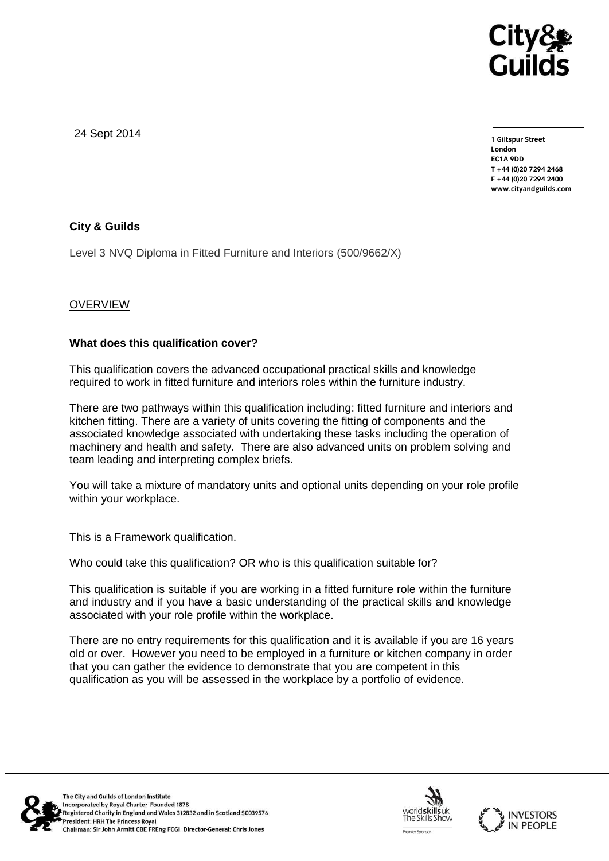

24 Sept 2014

**1 Giltspur Street EC1A 9DD** T +44 (0) 20 7 294 2468 **T +44 (0)20 7294 246[8](http://www.cityandguilds.com/) F +44 (0)20 7294 2400 [www.cityandguilds.com](http://www.cityandguilds.com/)**

## **City & Guilds**

Level 3 NVQ Diploma in Fitted Furniture and Interiors (500/9662/X)

## **OVERVIEW**

## **What does this qualification cover?**

This qualification covers the advanced occupational practical skills and knowledge required to work in fitted furniture and interiors roles within the furniture industry.

There are two pathways within this qualification including: fitted furniture and interiors and kitchen fitting. There are a variety of units covering the fitting of components and the associated knowledge associated with undertaking these tasks including the operation of machinery and health and safety. There are also advanced units on problem solving and team leading and interpreting complex briefs.

You will take a mixture of mandatory units and optional units depending on your role profile within your workplace.

This is a Framework qualification.

Who could take this qualification? OR who is this qualification suitable for?

This qualification is suitable if you are working in a fitted furniture role within the furniture and industry and if you have a basic understanding of the practical skills and knowledge associated with your role profile within the workplace.

There are no entry requirements for this qualification and it is available if you are 16 years old or over. However you need to be employed in a furniture or kitchen company in order that you can gather the evidence to demonstrate that you are competent in this qualification as you will be assessed in the workplace by a portfolio of evidence.